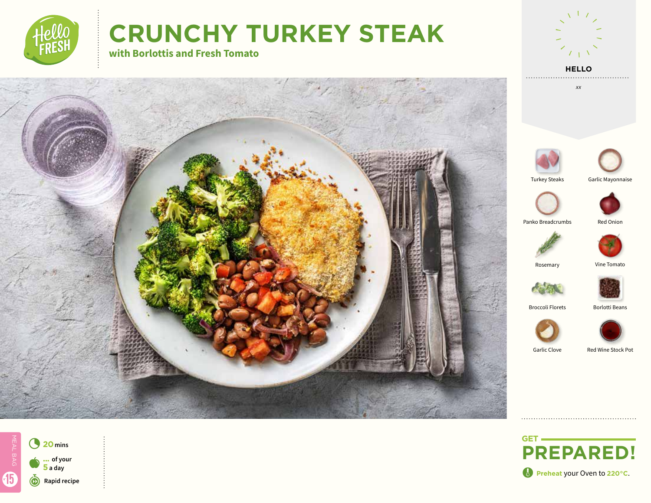

# **CRUNCHY TURKEY STEAK**

**with Borlottis and Fresh Tomato**